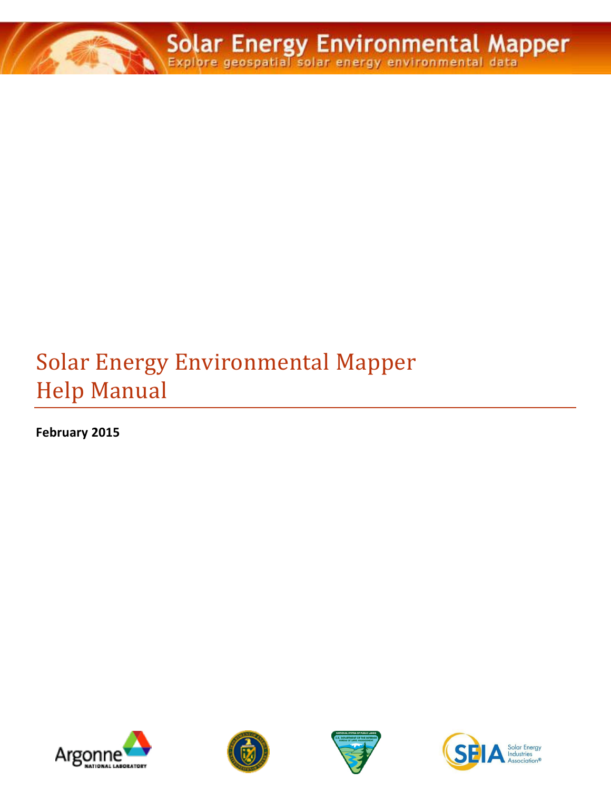# Solar Energy Environmental Mapper Help Manual

**February 2015**







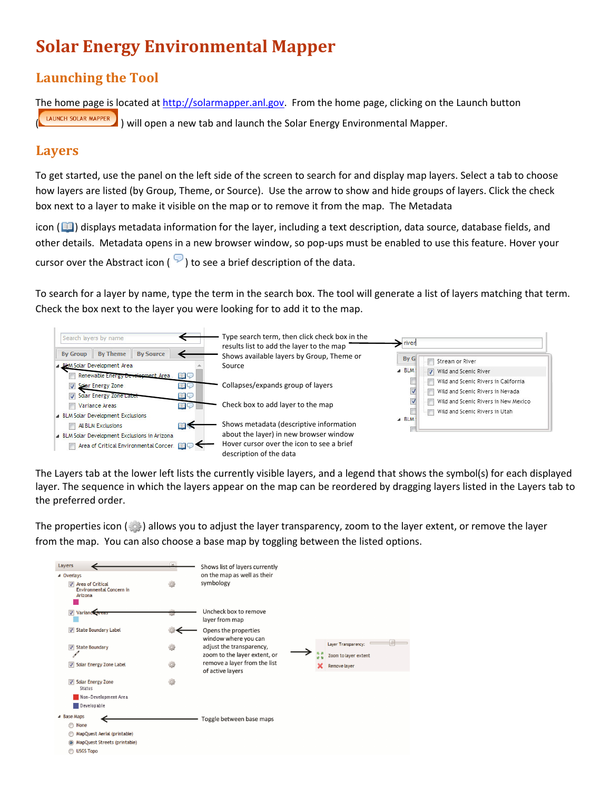## **Solar Energy Environmental Mapper**

#### **Launching the Tool**

The home page is located at http://solarmapper.anl.gov. From the home page, clicking on the Launch button LAUNCH SOLAR MAPPER ) will open a new tab and launch the Solar Energy Environmental Mapper.

#### **Layers**

To get started, use the panel on the left side of the screen to search for and display map layers. Select a tab to choose how layers are listed (by Group, Theme, or Source). Use the arrow to show and hide groups of layers. Click the check box next to a layer to make it visible on the map or to remove it from the map. The Metadata

icon ( $\Box$ ) displays metadata information for the layer, including a text description, data source, database fields, and other details. Metadata opens in a new browser window, so pop-ups must be enabled to use this feature. Hover your cursor over the Abstract icon ( $\sim$ ) to see a brief description of the data.

To search for a layer by name, type the term in the search box. The tool will generate a list of layers matching that term. Check the box next to the layer you were looking for to add it to the map.



The Layers tab at the lower left lists the currently visible layers, and a legend that shows the symbol(s) for each displayed layer. The sequence in which the layers appear on the map can be reordered by dragging layers listed in the Layers tab to the preferred order.

The properties icon ( $\gg$ ) allows you to adjust the layer transparency, zoom to the layer extent, or remove the layer from the map. You can also choose a base map by toggling between the listed options.

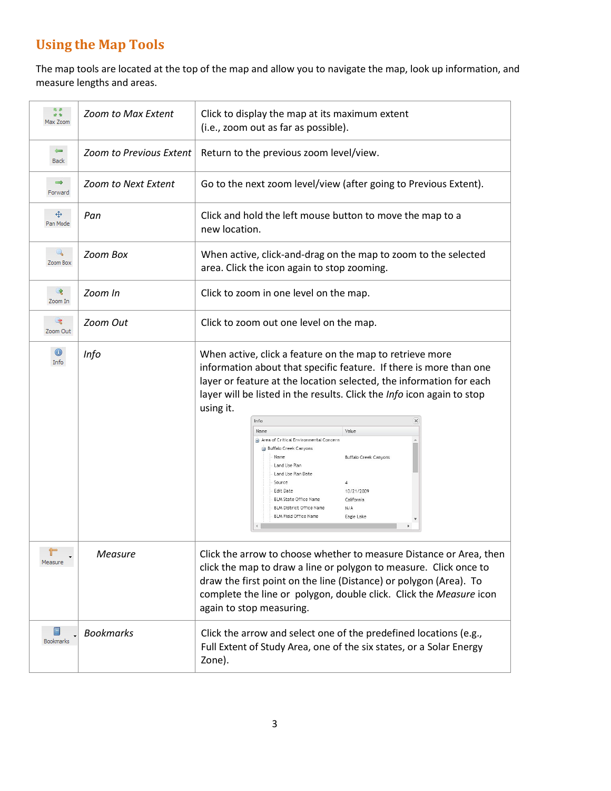## **Using the Map Tools**

The map tools are located at the top of the map and allow you to navigate the map, look up information, and measure lengths and areas.

| 陈易<br>世製<br>Max Zoom     | Zoom to Max Extent      | Click to display the map at its maximum extent<br>(i.e., zoom out as far as possible).                                                                                                                                                                                                                                                                                                                                                                                                                                                                                                                                                                |
|--------------------------|-------------------------|-------------------------------------------------------------------------------------------------------------------------------------------------------------------------------------------------------------------------------------------------------------------------------------------------------------------------------------------------------------------------------------------------------------------------------------------------------------------------------------------------------------------------------------------------------------------------------------------------------------------------------------------------------|
| Back                     | Zoom to Previous Extent | Return to the previous zoom level/view.                                                                                                                                                                                                                                                                                                                                                                                                                                                                                                                                                                                                               |
| $\Rightarrow$<br>Forward | Zoom to Next Extent     | Go to the next zoom level/view (after going to Previous Extent).                                                                                                                                                                                                                                                                                                                                                                                                                                                                                                                                                                                      |
| ⊕<br>Pan Mode            | Pan                     | Click and hold the left mouse button to move the map to a<br>new location.                                                                                                                                                                                                                                                                                                                                                                                                                                                                                                                                                                            |
| Zoom Box                 | Zoom Box                | When active, click-and-drag on the map to zoom to the selected<br>area. Click the icon again to stop zooming.                                                                                                                                                                                                                                                                                                                                                                                                                                                                                                                                         |
| ペ<br>Zoom In             | Zoom In                 | Click to zoom in one level on the map.                                                                                                                                                                                                                                                                                                                                                                                                                                                                                                                                                                                                                |
| 喝<br>Zoom Out            | Zoom Out                | Click to zoom out one level on the map.                                                                                                                                                                                                                                                                                                                                                                                                                                                                                                                                                                                                               |
| $\circledcirc$<br>Info   | Info                    | When active, click a feature on the map to retrieve more<br>information about that specific feature. If there is more than one<br>layer or feature at the location selected, the information for each<br>layer will be listed in the results. Click the Info icon again to stop<br>using it.<br>Info<br>$\times$<br>Value<br>Name<br>Area of Critical Environmental Concern<br>Buffalo Creek Canyons<br>Name<br>Buffalo Creek Canyons<br>Land Use Plan<br>Land Use Plan Date<br>Source<br>4<br>Edit Date<br>10/21/2009<br>BLM State Office Name<br>California<br><b>BLM District Office Name</b><br>N/A<br><b>BLM Field Office Name</b><br>Eagle Lake |
| Measure                  | Measure                 | Click the arrow to choose whether to measure Distance or Area, then<br>click the map to draw a line or polygon to measure. Click once to<br>draw the first point on the line (Distance) or polygon (Area). To<br>complete the line or polygon, double click. Click the Measure icon<br>again to stop measuring.                                                                                                                                                                                                                                                                                                                                       |
| <b>Bookmarks</b>         | <b>Bookmarks</b>        | Click the arrow and select one of the predefined locations (e.g.,<br>Full Extent of Study Area, one of the six states, or a Solar Energy<br>Zone).                                                                                                                                                                                                                                                                                                                                                                                                                                                                                                    |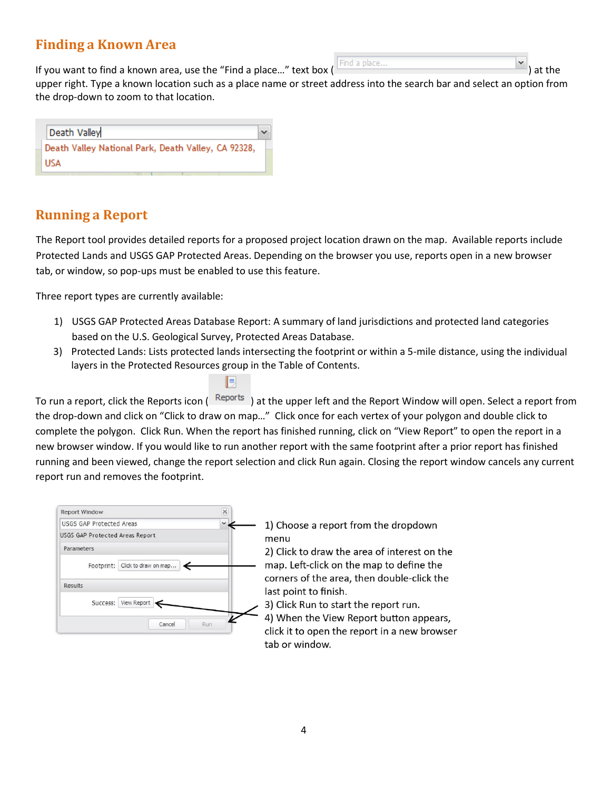#### **Finding a Known Area**

If you want to find a known area, use the "Find a place..." text box  $\left(\frac{\text{Find a place...}}{\text{Find a place...}}\right)$  at the

upper right. Type a known location such as a place name or street address into the search bar and select an option from the drop-down to zoom to that location.

| Death Valley                                        |  |
|-----------------------------------------------------|--|
| Death Valley National Park, Death Valley, CA 92328, |  |
| <b>LISA</b>                                         |  |

#### **Running a Report**

The Report tool provides detailed reports for a proposed project location drawn on the map. Available reports include Protected Lands and USGS GAP Protected Areas. Depending on the browser you use, reports open in a new browser tab, or window, so pop-ups must be enabled to use this feature.

Three report types are currently available:

1) USGS GAP Protected Areas Database Report: A summary of land jurisdictions and protected land categories based on the U.S. Geological Survey, Protected Areas Database.

Ħ

3) Protected Lands: Lists protected lands intersecting the footprint or within a 5-mile distance, using the individual layers in the Protected Resources group in the Table of Contents.

To run a report, click the Reports icon (Reports) at the upper left and the Report Window will open. Select a report from the drop-down and click on "Click to draw on map…" Click once for each vertex of your polygon and double click to complete the polygon. Click Run. When the report has finished running, click on "View Report" to open the report in a new browser window. If you would like to run another report with the same footprint after a prior report has finished running and been viewed, change the report selection and click Run again. Closing the report window cancels any current report run and removes the footprint.



1) Choose a report from the dropdown menu

2) Click to draw the area of interest on the map. Left-click on the map to define the corners of the area, then double-click the last point to finish.

3) Click Run to start the report run.

4) When the View Report button appears, click it to open the report in a new browser tab or window.